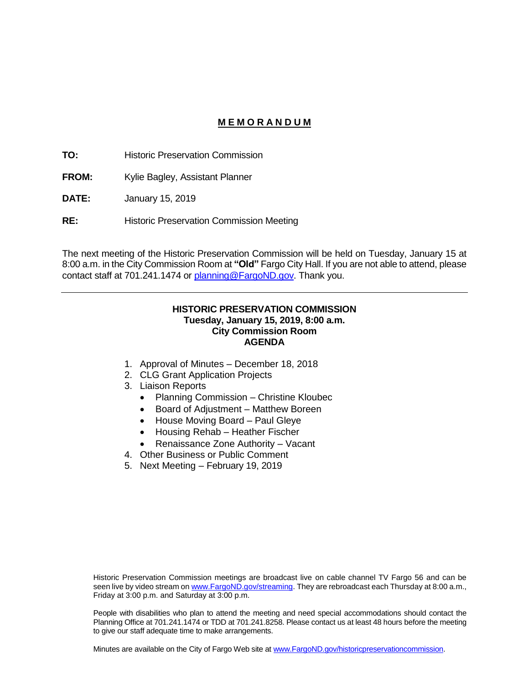#### **M E M O R A N D U M**

**TO:** Historic Preservation Commission

**FROM:** Kylie Bagley, Assistant Planner

**DATE:** January 15, 2019

**RE:** Historic Preservation Commission Meeting

The next meeting of the Historic Preservation Commission will be held on Tuesday, January 15 at 8:00 a.m. in the City Commission Room at **"Old"** Fargo City Hall. If you are not able to attend, please contact staff at 701.241.1474 or [planning@FargoND.gov.](mailto:planning@FargoND.gov) Thank you.

#### **HISTORIC PRESERVATION COMMISSION Tuesday, January 15, 2019, 8:00 a.m. City Commission Room AGENDA**

- 1. Approval of Minutes December 18, 2018
- 2. CLG Grant Application Projects
- 3. Liaison Reports
	- Planning Commission Christine Kloubec
	- Board of Adjustment Matthew Boreen
	- House Moving Board Paul Gleye
	- Housing Rehab Heather Fischer
	- Renaissance Zone Authority Vacant
- 4. Other Business or Public Comment
- 5. Next Meeting February 19, 2019

Historic Preservation Commission meetings are broadcast live on cable channel TV Fargo 56 and can be seen live by video stream o[n www.FargoND.gov/streaming.](http://www.fargond.gov/streaming) They are rebroadcast each Thursday at 8:00 a.m., Friday at 3:00 p.m. and Saturday at 3:00 p.m.

People with disabilities who plan to attend the meeting and need special accommodations should contact the Planning Office at 701.241.1474 or TDD at 701.241.8258. Please contact us at least 48 hours before the meeting to give our staff adequate time to make arrangements.

Minutes are available on the City of Fargo Web site a[t www.FargoND.gov/historicpreservationcommission.](http://www.fargond.gov/historicpreservationcommission)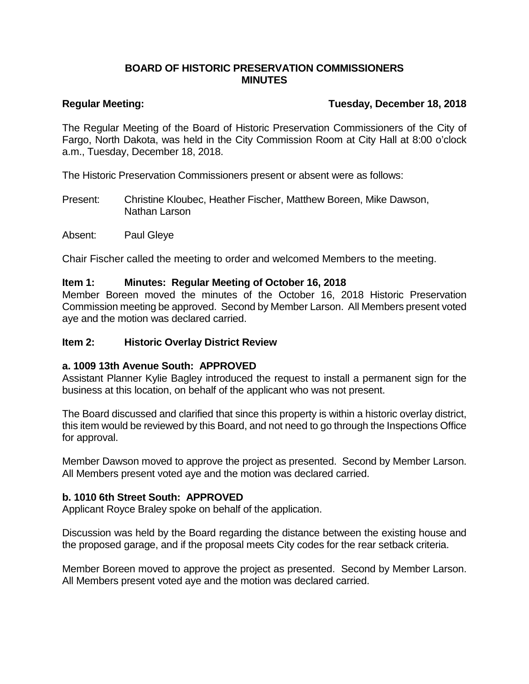# **BOARD OF HISTORIC PRESERVATION COMMISSIONERS MINUTES**

# **Regular Meeting: Tuesday, December 18, 2018**

The Regular Meeting of the Board of Historic Preservation Commissioners of the City of Fargo, North Dakota, was held in the City Commission Room at City Hall at 8:00 o'clock a.m., Tuesday, December 18, 2018.

The Historic Preservation Commissioners present or absent were as follows:

Present: Christine Kloubec, Heather Fischer, Matthew Boreen, Mike Dawson, Nathan Larson

Absent: Paul Gleye

Chair Fischer called the meeting to order and welcomed Members to the meeting.

## **Item 1: Minutes: Regular Meeting of October 16, 2018**

Member Boreen moved the minutes of the October 16, 2018 Historic Preservation Commission meeting be approved. Second by Member Larson. All Members present voted aye and the motion was declared carried.

# **Item 2: Historic Overlay District Review**

#### **a. 1009 13th Avenue South: APPROVED**

Assistant Planner Kylie Bagley introduced the request to install a permanent sign for the business at this location, on behalf of the applicant who was not present.

The Board discussed and clarified that since this property is within a historic overlay district, this item would be reviewed by this Board, and not need to go through the Inspections Office for approval.

Member Dawson moved to approve the project as presented. Second by Member Larson. All Members present voted aye and the motion was declared carried.

# **b. 1010 6th Street South: APPROVED**

Applicant Royce Braley spoke on behalf of the application.

Discussion was held by the Board regarding the distance between the existing house and the proposed garage, and if the proposal meets City codes for the rear setback criteria.

Member Boreen moved to approve the project as presented. Second by Member Larson. All Members present voted aye and the motion was declared carried.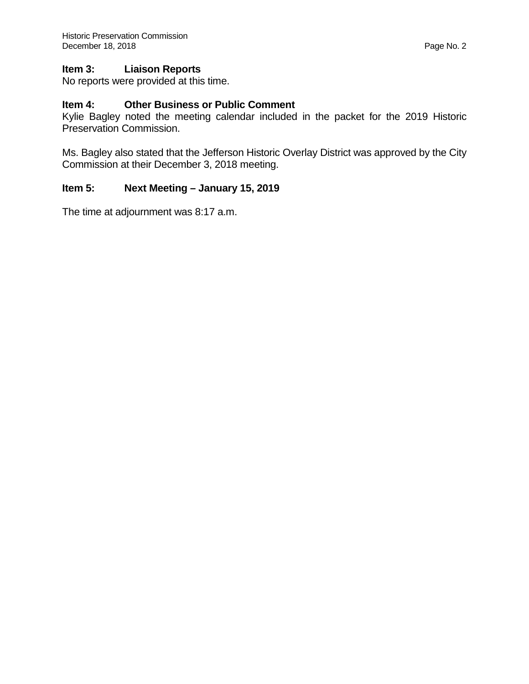## **Item 3: Liaison Reports**

No reports were provided at this time.

# **Item 4: Other Business or Public Comment**

Kylie Bagley noted the meeting calendar included in the packet for the 2019 Historic Preservation Commission.

Ms. Bagley also stated that the Jefferson Historic Overlay District was approved by the City Commission at their December 3, 2018 meeting.

## **Item 5: Next Meeting – January 15, 2019**

The time at adjournment was 8:17 a.m.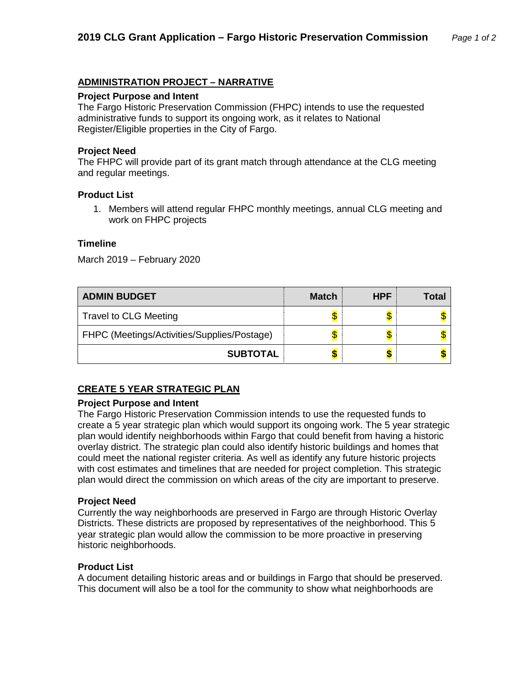# **ADMINISTRATION PROJECT – NARRATIVE**

#### **Project Purpose and Intent**

The Fargo Historic Preservation Commission (FHPC) intends to use the requested administrative funds to support its ongoing work, as it relates to National Register/Eligible properties in the City of Fargo.

#### **Project Need**

The FHPC will provide part of its grant match through attendance at the CLG meeting and regular meetings.

#### **Product List**

1. Members will attend regular FHPC monthly meetings, annual CLG meeting and work on FHPC projects

#### **Timeline**

March 2019 – February 2020

| <b>ADMIN BUDGET</b>                         | <b>Match</b> | <b>HPF</b> | Total |
|---------------------------------------------|--------------|------------|-------|
| <b>Travel to CLG Meeting</b>                |              |            |       |
| FHPC (Meetings/Activities/Supplies/Postage) |              |            |       |
| <b>SUBTOTAL</b>                             |              |            |       |

# **CREATE 5 YEAR STRATEGIC PLAN**

#### **Project Purpose and Intent**

The Fargo Historic Preservation Commission intends to use the requested funds to create a 5 year strategic plan which would support its ongoing work. The 5 year strategic plan would identify neighborhoods within Fargo that could benefit from having a historic overlay district. The strategic plan could also identify historic buildings and homes that could meet the national register criteria. As well as identify any future historic projects with cost estimates and timelines that are needed for project completion. This strategic plan would direct the commission on which areas of the city are important to preserve.

#### **Project Need**

Currently the way neighborhoods are preserved in Fargo are through Historic Overlay Districts. These districts are proposed by representatives of the neighborhood. This 5 year strategic plan would allow the commission to be more proactive in preserving historic neighborhoods.

#### **Product List**

A document detailing historic areas and or buildings in Fargo that should be preserved. This document will also be a tool for the community to show what neighborhoods are